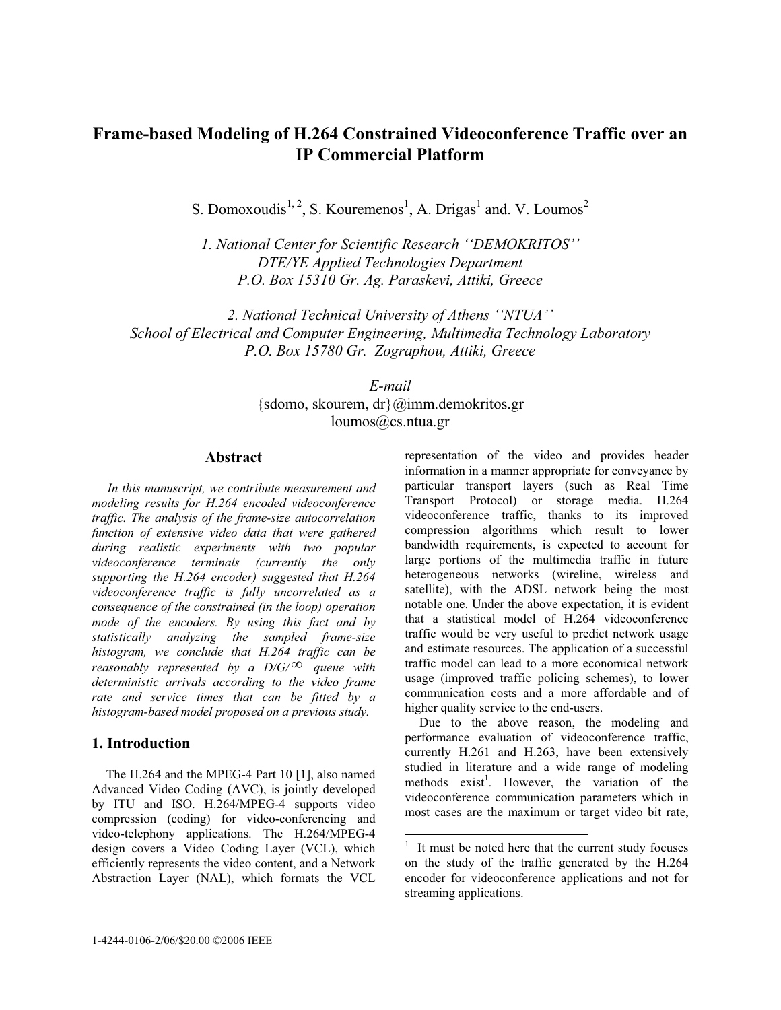# **Frame-based Modeling of H.264 Constrained Videoconference Traffic over an IP Commercial Platform**

S. Domoxoudis<sup>1, 2</sup>, S. Kouremenos<sup>1</sup>, A. Drigas<sup>1</sup> and. V. Loumos<sup>2</sup>

*1. National Center for Scientific Research ''DEMOKRITOS'' DTE/YE Applied Technologies Department P.O. Box 15310 Gr. Ag. Paraskevi, Attiki, Greece* 

*2. National Technical University of Athens ''NTUA'' School of Electrical and Computer Engineering, Multimedia Technology Laboratory P.O. Box 15780 Gr. Zographou, Attiki, Greece* 

> *E-mail* {sdomo, skourem, dr}@imm.demokritos.gr loumos@cs.ntua.gr

> > -

#### **Abstract**

*In this manuscript, we contribute measurement and modeling results for H.264 encoded videoconference traffic. The analysis of the frame-size autocorrelation function of extensive video data that were gathered during realistic experiments with two popular videoconference terminals (currently the only supporting the H.264 encoder) suggested that H.264 videoconference traffic is fully uncorrelated as a consequence of the constrained (in the loop) operation mode of the encoders. By using this fact and by statistically analyzing the sampled frame-size histogram, we conclude that H.264 traffic can be reasonably represented by a D/G/* $\infty$  *queue with deterministic arrivals according to the video frame rate and service times that can be fitted by a histogram-based model proposed on a previous study.* 

### **1. Introduction**

The H.264 and the MPEG-4 Part 10 [1], also named Advanced Video Coding (AVC), is jointly developed by ITU and ISO. H.264/MPEG-4 supports video compression (coding) for video-conferencing and video-telephony applications. The H.264/MPEG-4 design covers a Video Coding Layer (VCL), which efficiently represents the video content, and a Network Abstraction Layer (NAL), which formats the VCL

representation of the video and provides header information in a manner appropriate for conveyance by particular transport layers (such as Real Time Transport Protocol) or storage media. H.264 videoconference traffic, thanks to its improved compression algorithms which result to lower bandwidth requirements, is expected to account for large portions of the multimedia traffic in future heterogeneous networks (wireline, wireless and satellite), with the ADSL network being the most notable one. Under the above expectation, it is evident that a statistical model of H.264 videoconference traffic would be very useful to predict network usage and estimate resources. The application of a successful traffic model can lead to a more economical network usage (improved traffic policing schemes), to lower communication costs and a more affordable and of higher quality service to the end-users.

Due to the above reason, the modeling and performance evaluation of videoconference traffic, currently H.261 and H.263, have been extensively studied in literature and a wide range of modeling methods exist<sup>1</sup>. However, the variation of the videoconference communication parameters which in most cases are the maximum or target video bit rate,

<sup>1</sup> It must be noted here that the current study focuses on the study of the traffic generated by the H.264 encoder for videoconference applications and not for streaming applications.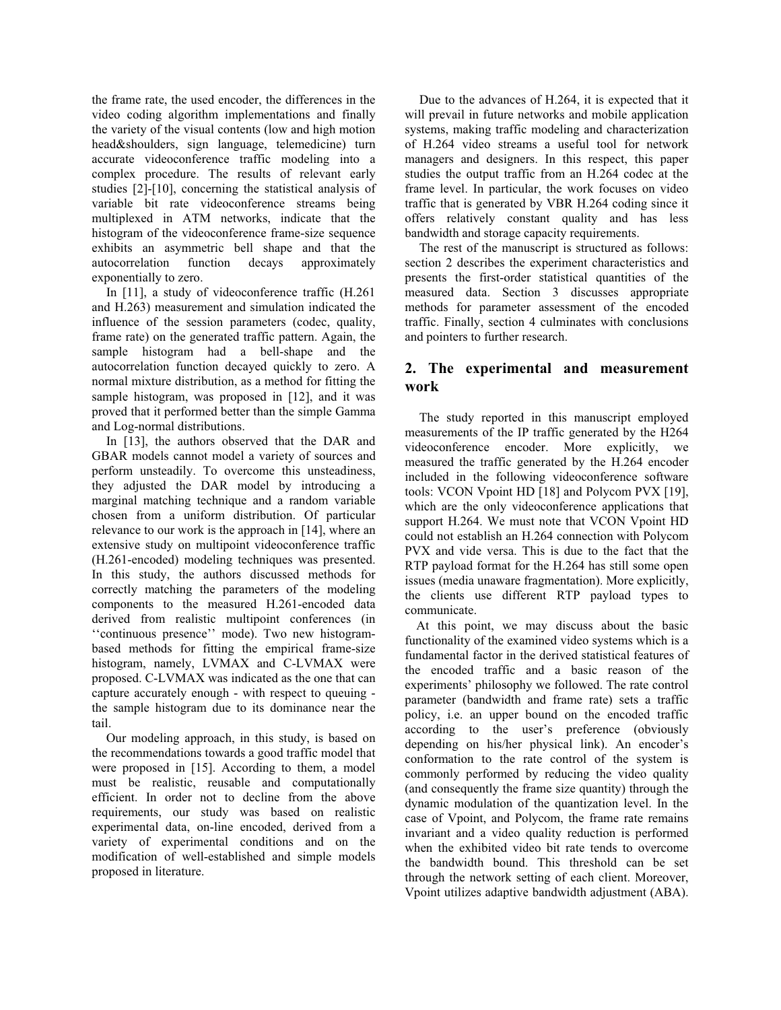the frame rate, the used encoder, the differences in the video coding algorithm implementations and finally the variety of the visual contents (low and high motion head&shoulders, sign language, telemedicine) turn accurate videoconference traffic modeling into a complex procedure. The results of relevant early studies [2]-[10], concerning the statistical analysis of variable bit rate videoconference streams being multiplexed in ATM networks, indicate that the histogram of the videoconference frame-size sequence exhibits an asymmetric bell shape and that the autocorrelation function decays approximately exponentially to zero.

In [11], a study of videoconference traffic (H.261 and H.263) measurement and simulation indicated the influence of the session parameters (codec, quality, frame rate) on the generated traffic pattern. Again, the sample histogram had a bell-shape and the autocorrelation function decayed quickly to zero. A normal mixture distribution, as a method for fitting the sample histogram, was proposed in [12], and it was proved that it performed better than the simple Gamma and Log-normal distributions.

In [13], the authors observed that the DAR and GBAR models cannot model a variety of sources and perform unsteadily. To overcome this unsteadiness, they adjusted the DAR model by introducing a marginal matching technique and a random variable chosen from a uniform distribution. Of particular relevance to our work is the approach in [14], where an extensive study on multipoint videoconference traffic (H.261-encoded) modeling techniques was presented. In this study, the authors discussed methods for correctly matching the parameters of the modeling components to the measured H.261-encoded data derived from realistic multipoint conferences (in ''continuous presence'' mode). Two new histogrambased methods for fitting the empirical frame-size histogram, namely, LVMAX and C-LVMAX were proposed. C-LVMAX was indicated as the one that can capture accurately enough - with respect to queuing the sample histogram due to its dominance near the tail.

Our modeling approach, in this study, is based on the recommendations towards a good traffic model that were proposed in [15]. According to them, a model must be realistic, reusable and computationally efficient. In order not to decline from the above requirements, our study was based on realistic experimental data, on-line encoded, derived from a variety of experimental conditions and on the modification of well-established and simple models proposed in literature.

Due to the advances of H.264, it is expected that it will prevail in future networks and mobile application systems, making traffic modeling and characterization of H.264 video streams a useful tool for network managers and designers. In this respect, this paper studies the output traffic from an H.264 codec at the frame level. In particular, the work focuses on video traffic that is generated by VBR H.264 coding since it offers relatively constant quality and has less bandwidth and storage capacity requirements.

The rest of the manuscript is structured as follows: section 2 describes the experiment characteristics and presents the first-order statistical quantities of the measured data. Section 3 discusses appropriate methods for parameter assessment of the encoded traffic. Finally, section 4 culminates with conclusions and pointers to further research.

## **2. The experimental and measurement work**

The study reported in this manuscript employed measurements of the IP traffic generated by the H264 videoconference encoder. More explicitly, we measured the traffic generated by the H.264 encoder included in the following videoconference software tools: VCON Vpoint HD [18] and Polycom PVX [19], which are the only videoconference applications that support H.264. We must note that VCON Vpoint HD could not establish an H.264 connection with Polycom PVX and vide versa. This is due to the fact that the RTP payload format for the H.264 has still some open issues (media unaware fragmentation). More explicitly, the clients use different RTP payload types to communicate.

At this point, we may discuss about the basic functionality of the examined video systems which is a fundamental factor in the derived statistical features of the encoded traffic and a basic reason of the experiments' philosophy we followed. The rate control parameter (bandwidth and frame rate) sets a traffic policy, i.e. an upper bound on the encoded traffic according to the user's preference (obviously depending on his/her physical link). An encoder's conformation to the rate control of the system is commonly performed by reducing the video quality (and consequently the frame size quantity) through the dynamic modulation of the quantization level. In the case of Vpoint, and Polycom, the frame rate remains invariant and a video quality reduction is performed when the exhibited video bit rate tends to overcome the bandwidth bound. This threshold can be set through the network setting of each client. Moreover, Vpoint utilizes adaptive bandwidth adjustment (ABA).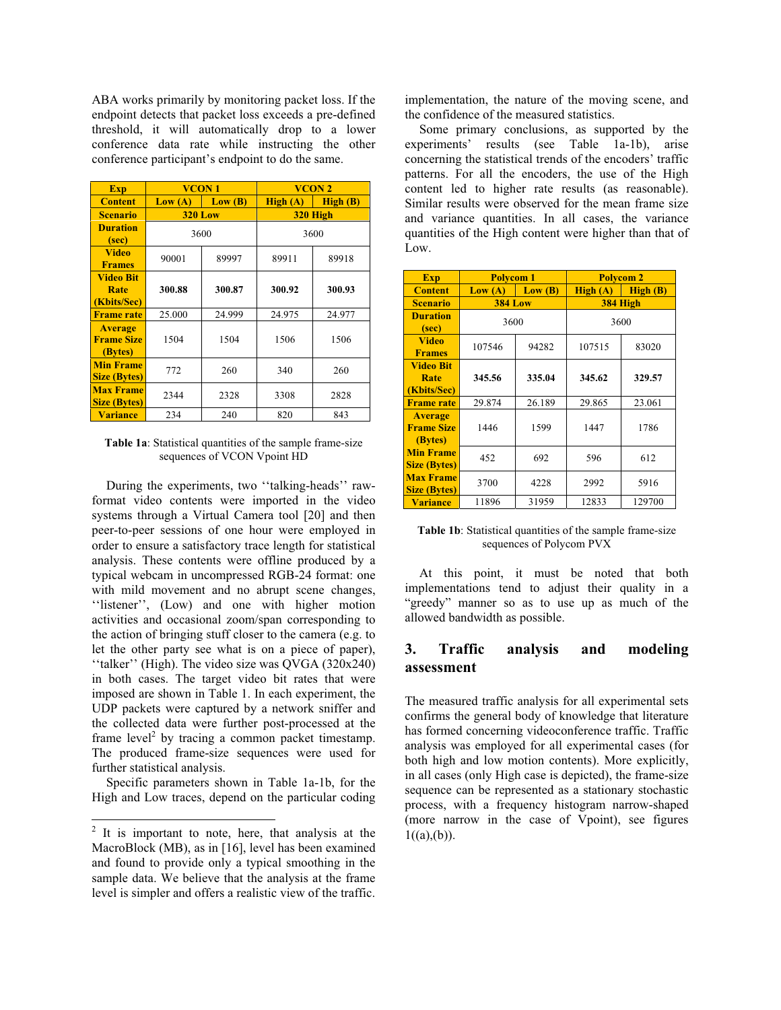ABA works primarily by monitoring packet loss. If the endpoint detects that packet loss exceeds a pre-defined threshold, it will automatically drop to a lower conference data rate while instructing the other conference participant's endpoint to do the same.

| <b>Exp</b>                                     | VCON <sub>1</sub> |        | VCON <sub>2</sub> |         |
|------------------------------------------------|-------------------|--------|-------------------|---------|
| <b>Content</b>                                 | Low(A)            | Low(B) | High(A)           | High(B) |
| <b>Scenario</b>                                | <b>320 Low</b>    |        | 320 High          |         |
| <b>Duration</b><br>(sec)                       | 3600              |        | 3600              |         |
| <b>Video</b><br><b>Frames</b>                  | 90001             | 89997  | 89911             | 89918   |
| <b>Video Bit</b><br>Rate<br>(Kbits/Sec)        | 300.88            | 300.87 | 300.92            | 300.93  |
| <b>Frame rate</b>                              | 25.000            | 24.999 | 24.975            | 24.977  |
| <b>Average</b><br><b>Frame Size</b><br>(Bytes) | 1504              | 1504   | 1506              | 1506    |
| <b>Min Frame</b><br><b>Size (Bytes)</b>        | 772               | 260    | 340               | 260     |
| <b>Max Frame</b><br><b>Size (Bytes)</b>        | 2344              | 2328   | 3308              | 2828    |
| <b>Variance</b>                                | 234               | 240    | 820               | 843     |

**Table 1a**: Statistical quantities of the sample frame-size sequences of VCON Vpoint HD

During the experiments, two ''talking-heads'' rawformat video contents were imported in the video systems through a Virtual Camera tool [20] and then peer-to-peer sessions of one hour were employed in order to ensure a satisfactory trace length for statistical analysis. These contents were offline produced by a typical webcam in uncompressed RGB-24 format: one with mild movement and no abrupt scene changes, ''listener'', (Low) and one with higher motion activities and occasional zoom/span corresponding to the action of bringing stuff closer to the camera (e.g. to let the other party see what is on a piece of paper), ''talker'' (High). The video size was QVGA (320x240) in both cases. The target video bit rates that were imposed are shown in Table 1. In each experiment, the UDP packets were captured by a network sniffer and the collected data were further post-processed at the frame  $level<sup>2</sup>$  by tracing a common packet timestamp. The produced frame-size sequences were used for further statistical analysis.

Specific parameters shown in Table 1a-1b, for the High and Low traces, depend on the particular coding

-

implementation, the nature of the moving scene, and the confidence of the measured statistics.

Some primary conclusions, as supported by the experiments' results (see Table 1a-1b), arise concerning the statistical trends of the encoders' traffic patterns. For all the encoders, the use of the High content led to higher rate results (as reasonable). Similar results were observed for the mean frame size and variance quantities. In all cases, the variance quantities of the High content were higher than that of Low.

| <b>Exp</b>                                     | <b>Polycom 1</b> |        | <b>Polycom 2</b> |         |
|------------------------------------------------|------------------|--------|------------------|---------|
| <b>Content</b>                                 | Low (A)          | Low(B) | High(A)          | High(B) |
| <b>Scenario</b>                                | <b>384 Low</b>   |        | 384 High         |         |
| <b>Duration</b><br>(sec)                       | 3600             |        | 3600             |         |
| <b>Video</b><br><b>Frames</b>                  | 107546           | 94282  | 107515           | 83020   |
| <b>Video Bit</b><br>Rate<br>(Kbits/Sec)        | 345.56           | 335.04 | 345.62           | 329.57  |
| <b>Frame rate</b>                              | 29.874           | 26.189 | 29.865           | 23.061  |
| <b>Average</b><br><b>Frame Size</b><br>(Bytes) | 1446             | 1599   | 1447             | 1786    |
| <b>Min Frame</b><br><b>Size (Bytes)</b>        | 452              | 692    | 596              | 612     |
| <b>Max Frame</b><br><b>Size (Bytes)</b>        | 3700             | 4228   | 2992             | 5916    |
| <b>Variance</b>                                | 11896            | 31959  | 12833            | 129700  |

**Table 1b**: Statistical quantities of the sample frame-size sequences of Polycom PVX

At this point, it must be noted that both implementations tend to adjust their quality in a "greedy" manner so as to use up as much of the allowed bandwidth as possible.

## **3. Traffic analysis and modeling assessment**

The measured traffic analysis for all experimental sets confirms the general body of knowledge that literature has formed concerning videoconference traffic. Traffic analysis was employed for all experimental cases (for both high and low motion contents). More explicitly, in all cases (only High case is depicted), the frame-size sequence can be represented as a stationary stochastic process, with a frequency histogram narrow-shaped (more narrow in the case of Vpoint), see figures  $1((a),(b)).$ 

 $2$  It is important to note, here, that analysis at the MacroBlock (MB), as in [16], level has been examined and found to provide only a typical smoothing in the sample data. We believe that the analysis at the frame level is simpler and offers a realistic view of the traffic.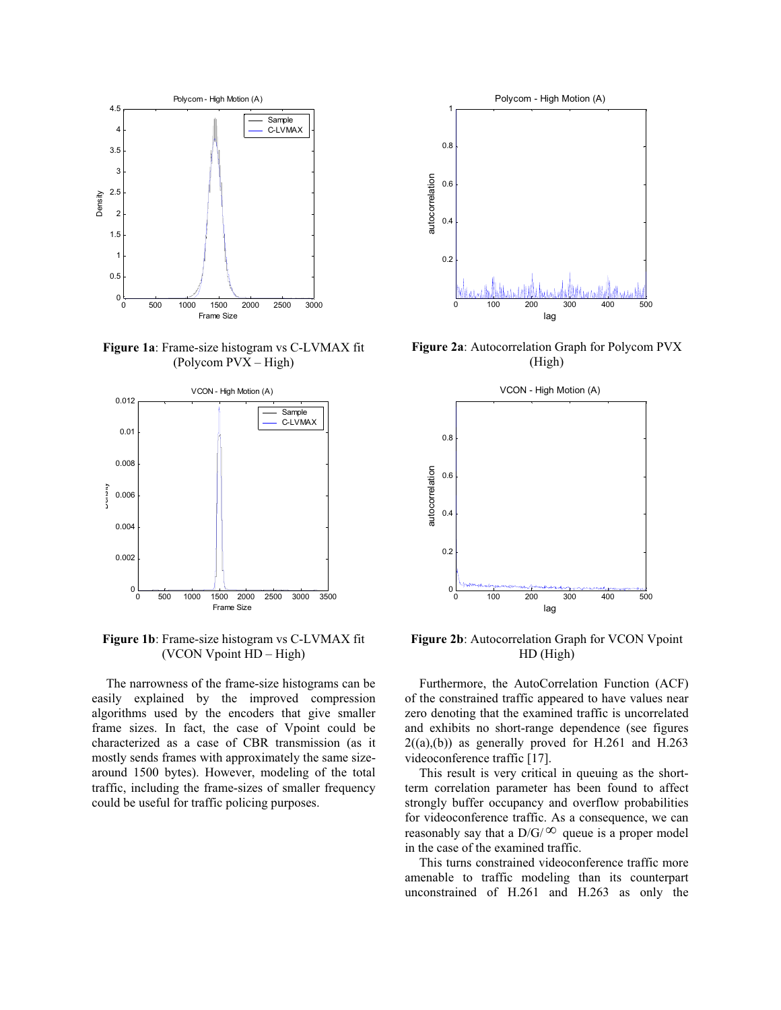

**Figure 1a**: Frame-size histogram vs C-LVMAX fit (Polycom PVX – High)



**Figure 1b**: Frame-size histogram vs C-LVMAX fit (VCON Vpoint HD – High)

The narrowness of the frame-size histograms can be easily explained by the improved compression algorithms used by the encoders that give smaller frame sizes. In fact, the case of Vpoint could be characterized as a case of CBR transmission (as it mostly sends frames with approximately the same sizearound 1500 bytes). However, modeling of the total traffic, including the frame-sizes of smaller frequency could be useful for traffic policing purposes.



**Figure 2a**: Autocorrelation Graph for Polycom PVX (High)



**Figure 2b**: Autocorrelation Graph for VCON Vpoint HD (High)

Furthermore, the AutoCorrelation Function (ACF) of the constrained traffic appeared to have values near zero denoting that the examined traffic is uncorrelated and exhibits no short-range dependence (see figures  $2((a),(b))$  as generally proved for H.261 and H.263 videoconference traffic [17].

This result is very critical in queuing as the shortterm correlation parameter has been found to affect strongly buffer occupancy and overflow probabilities for videoconference traffic. As a consequence, we can reasonably say that a  $D/G/\infty$  queue is a proper model in the case of the examined traffic.

This turns constrained videoconference traffic more amenable to traffic modeling than its counterpart unconstrained of H.261 and H.263 as only the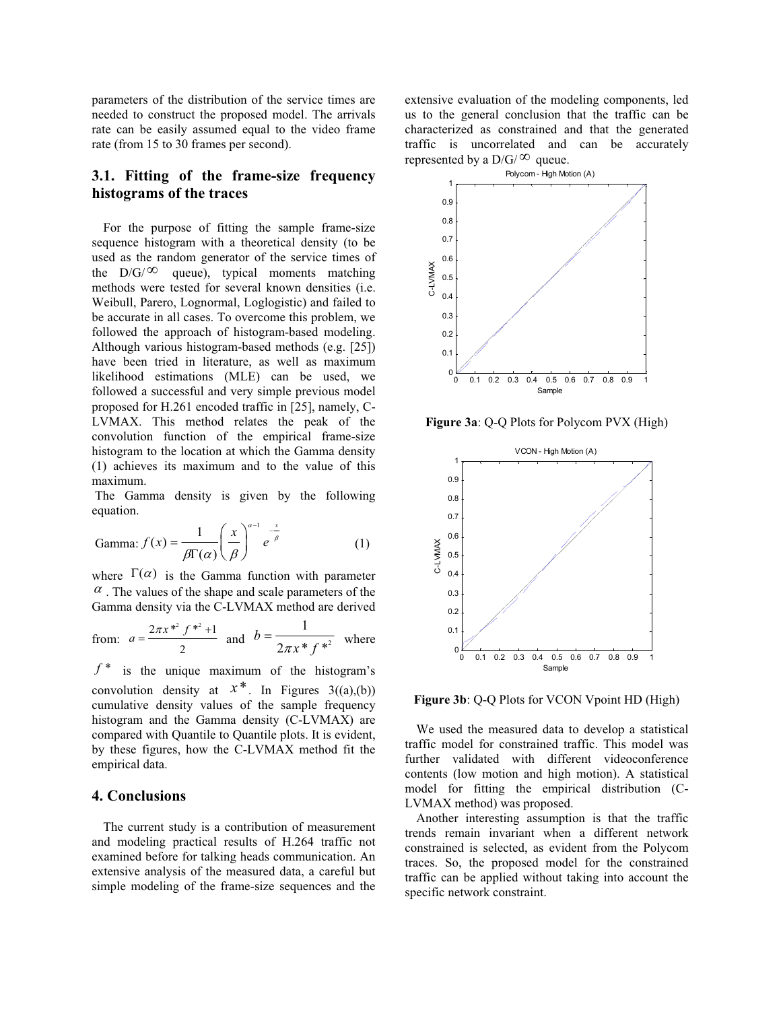parameters of the distribution of the service times are needed to construct the proposed model. The arrivals rate can be easily assumed equal to the video frame rate (from 15 to 30 frames per second).

# **3.1. Fitting of the frame-size frequency histograms of the traces**

For the purpose of fitting the sample frame-size sequence histogram with a theoretical density (to be used as the random generator of the service times of the  $D/G/\infty$  queue), typical moments matching methods were tested for several known densities (i.e. Weibull, Parero, Lognormal, Loglogistic) and failed to be accurate in all cases. To overcome this problem, we followed the approach of histogram-based modeling. Although various histogram-based methods (e.g. [25]) have been tried in literature, as well as maximum likelihood estimations (MLE) can be used, we followed a successful and very simple previous model proposed for H.261 encoded traffic in [25], namely, C-LVMAX. This method relates the peak of the convolution function of the empirical frame-size histogram to the location at which the Gamma density (1) achieves its maximum and to the value of this maximum.

 The Gamma density is given by the following equation.

Gamma: 
$$
f(x) = \frac{1}{\beta \Gamma(\alpha)} \left(\frac{x}{\beta}\right)^{\alpha-1} e^{-\frac{x}{\beta}}
$$
 (1)

where  $\Gamma(\alpha)$  is the Gamma function with parameter  $\alpha$ . The values of the shape and scale parameters of the Gamma density via the C-LVMAX method are derived

from: 
$$
a = \frac{2\pi x^{*2} f^{*2} + 1}{2}
$$
 and  $b = \frac{1}{2\pi x^* f^{*2}}$  where

 $f^*$  is the unique maximum of the histogram's convolution density at  $x^*$ . In Figures  $3(2a)(b)$ cumulative density values of the sample frequency histogram and the Gamma density (C-LVMAX) are compared with Quantile to Quantile plots. It is evident, by these figures, how the C-LVMAX method fit the empirical data.

## **4. Conclusions**

The current study is a contribution of measurement and modeling practical results of H.264 traffic not examined before for talking heads communication. An extensive analysis of the measured data, a careful but simple modeling of the frame-size sequences and the extensive evaluation of the modeling components, led us to the general conclusion that the traffic can be characterized as constrained and that the generated traffic is uncorrelated and can be accurately represented by a  $D/G/\infty$  queue.



**Figure 3a**: Q-Q Plots for Polycom PVX (High)



**Figure 3b**: Q-Q Plots for VCON Vpoint HD (High)

We used the measured data to develop a statistical traffic model for constrained traffic. This model was further validated with different videoconference contents (low motion and high motion). A statistical model for fitting the empirical distribution (C-LVMAX method) was proposed.

Another interesting assumption is that the traffic trends remain invariant when a different network constrained is selected, as evident from the Polycom traces. So, the proposed model for the constrained traffic can be applied without taking into account the specific network constraint.